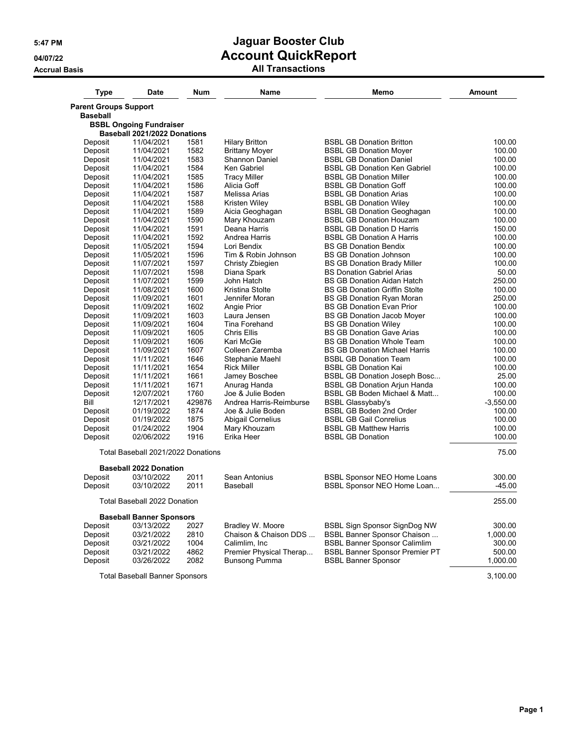| <b>Type</b>                                     | Date                                  | <b>Num</b> | Name                    | Memo                                  | Amount      |
|-------------------------------------------------|---------------------------------------|------------|-------------------------|---------------------------------------|-------------|
| <b>Parent Groups Support</b><br><b>Baseball</b> |                                       |            |                         |                                       |             |
|                                                 | <b>BSBL Ongoing Fundraiser</b>        |            |                         |                                       |             |
|                                                 | Baseball 2021/2022 Donations          |            |                         |                                       |             |
| Deposit                                         | 11/04/2021                            | 1581       | <b>Hilary Britton</b>   | <b>BSBL GB Donation Britton</b>       | 100.00      |
| Deposit                                         | 11/04/2021                            | 1582       | <b>Brittany Moyer</b>   | <b>BSBL GB Donation Moyer</b>         | 100.00      |
| Deposit                                         | 11/04/2021                            | 1583       | <b>Shannon Daniel</b>   | <b>BSBL GB Donation Daniel</b>        | 100.00      |
| Deposit                                         | 11/04/2021                            | 1584       | Ken Gabriel             | <b>BSBL GB Donation Ken Gabriel</b>   | 100.00      |
| Deposit                                         | 11/04/2021                            | 1585       | <b>Tracy Miller</b>     | <b>BSBL GB Donation Miller</b>        | 100.00      |
| Deposit                                         | 11/04/2021                            | 1586       | Alicia Goff             | <b>BSBL GB Donation Goff</b>          | 100.00      |
| Deposit                                         | 11/04/2021                            | 1587       | Melissa Arias           | <b>BSBL GB Donation Arias</b>         | 100.00      |
| Deposit                                         | 11/04/2021                            | 1588       | Kristen Wiley           | <b>BSBL GB Donation Wiley</b>         | 100.00      |
| Deposit                                         | 11/04/2021                            | 1589       | Aicia Geoghagan         | <b>BSBL GB Donation Geoghagan</b>     | 100.00      |
| Deposit                                         | 11/04/2021                            | 1590       | Mary Khouzam            | <b>BSBL GB Donation Houzam</b>        | 100.00      |
| Deposit                                         | 11/04/2021                            | 1591       | Deana Harris            | <b>BSBL GB Donation D Harris</b>      | 150.00      |
| Deposit                                         | 11/04/2021                            | 1592       | Andrea Harris           | <b>BSBL GB Donation A Harris</b>      | 100.00      |
| Deposit                                         | 11/05/2021                            | 1594       | Lori Bendix             | <b>BS GB Donation Bendix</b>          | 100.00      |
| Deposit                                         | 11/05/2021                            | 1596       | Tim & Robin Johnson     | <b>BS GB Donation Johnson</b>         | 100.00      |
| Deposit                                         | 11/07/2021                            | 1597       | Christy Zbiegien        | <b>BS GB Donation Brady Miller</b>    | 100.00      |
| Deposit                                         | 11/07/2021                            | 1598       | Diana Spark             | <b>BS Donation Gabriel Arias</b>      | 50.00       |
| Deposit                                         | 11/07/2021                            | 1599       | John Hatch              | <b>BS GB Donation Aidan Hatch</b>     | 250.00      |
| Deposit                                         | 11/08/2021                            | 1600       | Kristina Stolte         | <b>BS GB Donation Griffin Stolte</b>  | 100.00      |
| Deposit                                         | 11/09/2021                            | 1601       | Jennifer Moran          | <b>BS GB Donation Ryan Moran</b>      | 250.00      |
| Deposit                                         | 11/09/2021                            | 1602       | Angie Prior             | <b>BS GB Donation Evan Prior</b>      | 100.00      |
| Deposit                                         | 11/09/2021                            | 1603       | Laura Jensen            | <b>BS GB Donation Jacob Moyer</b>     | 100.00      |
| Deposit                                         | 11/09/2021                            | 1604       | Tina Forehand           | <b>BS GB Donation Wiley</b>           | 100.00      |
| Deposit                                         | 11/09/2021                            | 1605       | Chris Ellis             | <b>BS GB Donation Gave Arias</b>      | 100.00      |
| Deposit                                         | 11/09/2021                            | 1606       | Kari McGie              | <b>BS GB Donation Whole Team</b>      | 100.00      |
| Deposit                                         | 11/09/2021                            | 1607       | Colleen Zaremba         | <b>BS GB Donation Michael Harris</b>  | 100.00      |
| Deposit                                         | 11/11/2021                            | 1646       | Stephanie Maehl         | <b>BSBL GB Donation Team</b>          | 100.00      |
| Deposit                                         | 11/11/2021                            | 1654       | <b>Rick Miller</b>      | <b>BSBL GB Donation Kai</b>           | 100.00      |
| Deposit                                         | 11/11/2021                            | 1661       | Jamey Boschee           | <b>BSBL GB Donation Joseph Bosc</b>   | 25.00       |
| Deposit                                         | 11/11/2021                            | 1671       | Anurag Handa            | <b>BSBL GB Donation Arjun Handa</b>   | 100.00      |
| Deposit                                         | 12/07/2021                            | 1760       | Joe & Julie Boden       | BSBL GB Boden Michael & Matt          | 100.00      |
| Bill                                            | 12/17/2021                            | 429876     | Andrea Harris-Reimburse | <b>BSBL Glassybaby's</b>              | $-3,550.00$ |
| Deposit                                         | 01/19/2022                            | 1874       | Joe & Julie Boden       | <b>BSBL GB Boden 2nd Order</b>        | 100.00      |
| Deposit                                         | 01/19/2022                            | 1875       | Abigail Cornelius       | <b>BSBL GB Gail Conrelius</b>         | 100.00      |
| Deposit                                         | 01/24/2022                            | 1904       | Mary Khouzam            | <b>BSBL GB Matthew Harris</b>         | 100.00      |
| Deposit                                         | 02/06/2022                            | 1916       | Erika Heer              | <b>BSBL GB Donation</b>               | 100.00      |
|                                                 | Total Baseball 2021/2022 Donations    |            |                         |                                       | 75.00       |
|                                                 | <b>Baseball 2022 Donation</b>         |            |                         |                                       |             |
| Deposit                                         | 03/10/2022                            | 2011       | Sean Antonius           | <b>BSBL Sponsor NEO Home Loans</b>    | 300.00      |
| Deposit                                         | 03/10/2022                            | 2011       | Baseball                | BSBL Sponsor NEO Home Loan            | $-45.00$    |
|                                                 | <b>Total Baseball 2022 Donation</b>   |            |                         |                                       | 255.00      |
|                                                 | <b>Baseball Banner Sponsors</b>       |            |                         |                                       |             |
| Deposit                                         | 03/13/2022                            | 2027       | Bradley W. Moore        | BSBL Sign Sponsor SignDog NW          | 300.00      |
| Deposit                                         | 03/21/2022                            | 2810       | Chaison & Chaison DDS   | <b>BSBL Banner Sponsor Chaison </b>   | 1,000.00    |
| Deposit                                         | 03/21/2022                            | 1004       | Calimlim, Inc.          | <b>BSBL Banner Sponsor Calimlim</b>   | 300.00      |
| Deposit                                         | 03/21/2022                            | 4862       | Premier Physical Therap | <b>BSBL Banner Sponsor Premier PT</b> | 500.00      |
| Deposit                                         | 03/26/2022                            | 2082       | Bunsong Pumma           | <b>BSBL Banner Sponsor</b>            | 1,000.00    |
|                                                 | <b>Total Baseball Banner Sponsors</b> |            |                         |                                       | 3,100.00    |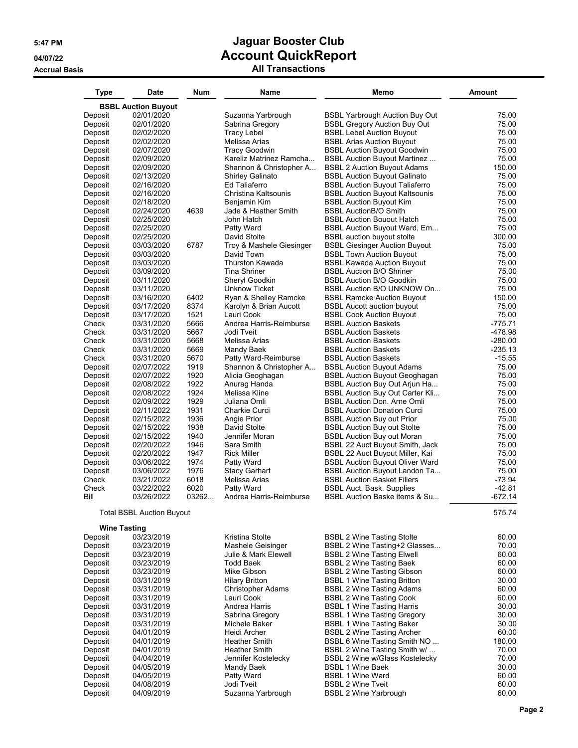| <b>Type</b>         | Date                             | <b>Num</b>   | <b>Name</b>                          | Memo                                                                    | <b>Amount</b>  |
|---------------------|----------------------------------|--------------|--------------------------------------|-------------------------------------------------------------------------|----------------|
|                     | <b>BSBL Auction Buyout</b>       |              |                                      |                                                                         |                |
| Deposit             | 02/01/2020                       |              | Suzanna Yarbrough                    | <b>BSBL Yarbrough Auction Buy Out</b>                                   | 75.00          |
| Deposit             | 02/01/2020                       |              | Sabrina Gregory                      | <b>BSBL Gregory Auction Buy Out</b>                                     | 75.00          |
| Deposit             | 02/02/2020                       |              | <b>Tracy Lebel</b>                   | <b>BSBL Lebel Auction Buyout</b>                                        | 75.00          |
| Deposit             | 02/02/2020                       |              | Melissa Arias                        | <b>BSBL Arias Auction Buyout</b>                                        | 75.00          |
| Deposit             | 02/07/2020                       |              | <b>Tracy Goodwin</b>                 | <b>BSBL Auction Buyout Goodwin</b>                                      | 75.00          |
| Deposit             | 02/09/2020                       |              | Kareliz Matrinez Ramcha              | <b>BSBL Auction Buyout Martinez</b>                                     | 75.00          |
| Deposit             | 02/09/2020                       |              | Shannon & Christopher A              | <b>BSBL 2 Auction Buyout Adams</b>                                      | 150.00         |
| Deposit             | 02/13/2020                       |              | <b>Shirley Galinato</b>              | <b>BSBL Auction Buyout Galinato</b>                                     | 75.00          |
| Deposit             | 02/16/2020<br>02/16/2020         |              | Ed Taliaferro                        | <b>BSBL Auction Buyout Taliaferro</b>                                   | 75.00<br>75.00 |
| Deposit<br>Deposit  | 02/18/2020                       |              | Christina Kaltsounis<br>Benjamin Kim | <b>BSBL Auction Buyout Kaltsounis</b><br><b>BSBL Auction Buyout Kim</b> | 75.00          |
| Deposit             | 02/24/2020                       | 4639         | Jade & Heather Smith                 | <b>BSBL AuctionB/O Smith</b>                                            | 75.00          |
| Deposit             | 02/25/2020                       |              | John Hatch                           | <b>BSBL Auction Bouout Hatch</b>                                        | 75.00          |
| Deposit             | 02/25/2020                       |              | Patty Ward                           | <b>BSBL Auction Buyout Ward, Em</b>                                     | 75.00          |
| Deposit             | 02/25/2020                       |              | David Stolte                         | <b>BSBL</b> auction buyout stolte                                       | 300.00         |
| Deposit             | 03/03/2020                       | 6787         | Troy & Mashele Giesinger             | <b>BSBL Giesinger Auction Buyout</b>                                    | 75.00          |
| Deposit             | 03/03/2020                       |              | David Town                           | <b>BSBL Town Auction Buyout</b>                                         | 75.00          |
| Deposit             | 03/03/2020                       |              | <b>Thurston Kawada</b>               | <b>BSBL Kawada Auction Buyout</b>                                       | 75.00          |
| Deposit             | 03/09/2020                       |              | <b>Tina Shriner</b>                  | <b>BSBL Auction B/O Shriner</b>                                         | 75.00          |
| Deposit             | 03/11/2020                       |              | Sheryl Goodkin                       | <b>BSBL Auction B/O Goodkin</b>                                         | 75.00          |
| Deposit             | 03/11/2020                       |              | Unknow Ticket                        | <b>BSBL Auction B/O UNKNOW On</b>                                       | 75.00          |
| Deposit             | 03/16/2020                       | 6402         | Ryan & Shelley Ramcke                | <b>BSBL Ramcke Auction Buyout</b>                                       | 150.00         |
| Deposit             | 03/17/2020                       | 8374         | Karolyn & Brian Aucott               | <b>BSBL Aucott auction buyout</b>                                       | 75.00          |
| Deposit             | 03/17/2020                       | 1521         | Lauri Cook                           | <b>BSBL Cook Auction Buyout</b>                                         | 75.00          |
| Check               | 03/31/2020                       | 5666         | Andrea Harris-Reimburse              | <b>BSBL Auction Baskets</b>                                             | $-775.71$      |
| Check               | 03/31/2020                       | 5667         | Jodi Tveit                           | <b>BSBL Auction Baskets</b>                                             | -478.98        |
| Check               | 03/31/2020                       | 5668         | Melissa Arias                        | <b>BSBL Auction Baskets</b>                                             | $-280.00$      |
| Check               | 03/31/2020                       | 5669         | Mandy Baek                           | <b>BSBL Auction Baskets</b>                                             | $-235.13$      |
| Check               | 03/31/2020                       | 5670         | Patty Ward-Reimburse                 | <b>BSBL Auction Baskets</b>                                             | $-15.55$       |
| Deposit             | 02/07/2022                       | 1919         | Shannon & Christopher A              | <b>BSBL Auction Buyout Adams</b>                                        | 75.00          |
| Deposit             | 02/07/2022                       | 1920         | Alicia Geoghagan                     | <b>BSBL Auction Buyout Geoghagan</b>                                    | 75.00          |
| Deposit             | 02/08/2022<br>02/08/2022         | 1922<br>1924 | Anurag Handa<br>Melissa Kline        | BSBL Auction Buy Out Arjun Ha<br><b>BSBL Auction Buy Out Carter Kli</b> | 75.00<br>75.00 |
| Deposit<br>Deposit  | 02/09/2022                       | 1929         | Juliana Omli                         | <b>BSBL Auction Don. Arne Omli</b>                                      | 75.00          |
| Deposit             | 02/11/2022                       | 1931         | Charkie Curci                        | <b>BSBL Auction Donation Curci</b>                                      | 75.00          |
| Deposit             | 02/15/2022                       | 1936         | Angie Prior                          | <b>BSBL Auction Buy out Prior</b>                                       | 75.00          |
| Deposit             | 02/15/2022                       | 1938         | David Stolte                         | <b>BSBL Auction Buy out Stolte</b>                                      | 75.00          |
| Deposit             | 02/15/2022                       | 1940         | Jennifer Moran                       | <b>BSBL Auction Buy out Moran</b>                                       | 75.00          |
| Deposit             | 02/20/2022                       | 1946         | Sara Smith                           | BSBL 22 Auct Buyout Smith, Jack                                         | 75.00          |
| Deposit             | 02/20/2022                       | 1947         | <b>Rick Miller</b>                   | BSBL 22 Auct Buyout Miller, Kai                                         | 75.00          |
| Deposit             | 03/06/2022                       | 1974         | Patty Ward                           | <b>BSBL Auction Buyout Oliver Ward</b>                                  | 75.00          |
| Deposit             | 03/06/2022                       | 1976         | <b>Stacy Garhart</b>                 | <b>BSBL Auction Buyout Landon Ta</b>                                    | 75.00          |
| Check               | 03/21/2022                       | 6018         | Melissa Arias                        | <b>BSBL Auction Basket Fillers</b>                                      | $-73.94$       |
| Check               | 03/22/2022                       | 6020         | Patty Ward                           | <b>BSBL Auct. Bask. Supplies</b>                                        | $-42.81$       |
| Bill                | 03/26/2022                       | 03262        | Andrea Harris-Reimburse              | <b>BSBL Auction Baske items &amp; Su</b>                                | $-672.14$      |
|                     | <b>Total BSBL Auction Buyout</b> |              |                                      |                                                                         | 575.74         |
| <b>Wine Tasting</b> |                                  |              |                                      |                                                                         |                |
| Deposit             | 03/23/2019                       |              | Kristina Stolte                      | <b>BSBL 2 Wine Tasting Stolte</b>                                       | 60.00          |
| Deposit             | 03/23/2019                       |              | Mashele Geisinger                    | BSBL 2 Wine Tasting+2 Glasses                                           | 70.00          |
| Deposit             | 03/23/2019                       |              | Julie & Mark Elewell                 | <b>BSBL 2 Wine Tasting Elwell</b>                                       | 60.00          |
| Deposit             | 03/23/2019                       |              | Todd Baek                            | <b>BSBL 2 Wine Tasting Baek</b>                                         | 60.00          |
| Deposit             | 03/23/2019                       |              | Mike Gibson                          | <b>BSBL 2 Wine Tasting Gibson</b>                                       | 60.00          |
| Deposit             | 03/31/2019                       |              | <b>Hilary Britton</b>                | <b>BSBL 1 Wine Tasting Britton</b>                                      | 30.00          |
| Deposit             | 03/31/2019                       |              | <b>Christopher Adams</b>             | <b>BSBL 2 Wine Tasting Adams</b>                                        | 60.00          |
| Deposit             | 03/31/2019                       |              | Lauri Cook                           | <b>BSBL 2 Wine Tasting Cook</b>                                         | 60.00          |
| Deposit             | 03/31/2019                       |              | Andrea Harris                        | <b>BSBL 1 Wine Tasting Harris</b>                                       | 30.00          |
| Deposit             | 03/31/2019                       |              | Sabrina Gregory                      | <b>BSBL 1 Wine Tasting Gregory</b>                                      | 30.00          |
| Deposit             | 03/31/2019                       |              | Michele Baker                        | <b>BSBL 1 Wine Tasting Baker</b>                                        | 30.00          |
| Deposit             | 04/01/2019                       |              | Heidi Archer                         | <b>BSBL 2 Wine Tasting Archer</b>                                       | 60.00          |
| Deposit             | 04/01/2019                       |              | Heather Smith                        | BSBL 6 Wine Tasting Smith NO                                            | 180.00         |
| Deposit             | 04/01/2019                       |              | Heather Smith                        | BSBL 2 Wine Tasting Smith w/                                            | 70.00          |
| Deposit             | 04/04/2019                       |              | Jennifer Kostelecky                  | <b>BSBL 2 Wine w/Glass Kostelecky</b><br><b>BSBL 1 Wine Baek</b>        | 70.00<br>30.00 |
| Deposit<br>Deposit  | 04/05/2019<br>04/05/2019         |              | Mandy Baek<br>Patty Ward             | <b>BSBL 1 Wine Ward</b>                                                 | 60.00          |
| Deposit             | 04/08/2019                       |              | Jodi Tveit                           | <b>BSBL 2 Wine Tyeit</b>                                                | 60.00          |
| Deposit             | 04/09/2019                       |              | Suzanna Yarbrough                    | <b>BSBL 2 Wine Yarbrough</b>                                            | 60.00          |
|                     |                                  |              |                                      |                                                                         |                |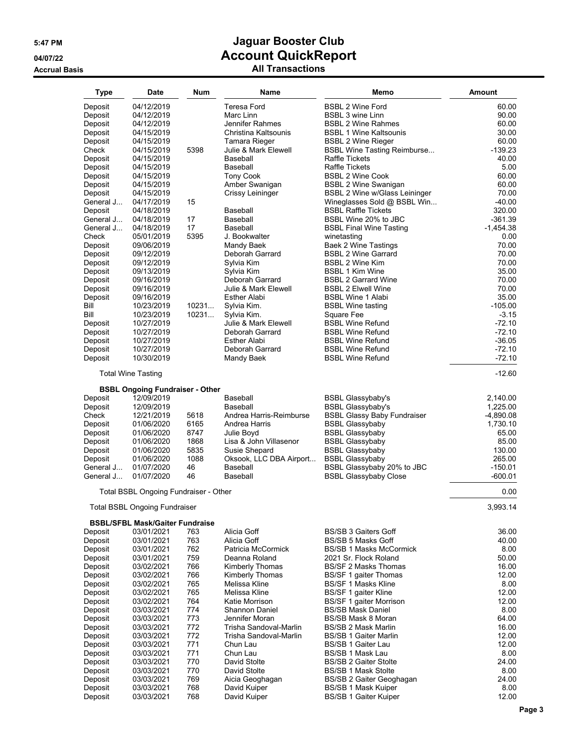**Accrual Basis** 

# **5:47 PM Jaguar Booster Club 04/07/22 Account QuickReport**

| All Transactions |  |
|------------------|--|
|------------------|--|

| <b>Type</b> | <b>Date</b>                                                         | <b>Num</b> | Name                    | Memo                               | <b>Amount</b> |
|-------------|---------------------------------------------------------------------|------------|-------------------------|------------------------------------|---------------|
| Deposit     | 04/12/2019                                                          |            | Teresa Ford             | <b>BSBL 2 Wine Ford</b>            | 60.00         |
| Deposit     | 04/12/2019                                                          |            | Marc Linn               | <b>BSBL 3 wine Linn</b>            | 90.00         |
| Deposit     | 04/12/2019                                                          |            | Jennifer Rahmes         | <b>BSBL 2 Wine Rahmes</b>          | 60.00         |
| Deposit     | 04/15/2019                                                          |            | Christina Kaltsounis    | <b>BSBL 1 Wine Kaltsounis</b>      | 30.00         |
| Deposit     | 04/15/2019                                                          |            | <b>Tamara Rieger</b>    | <b>BSBL 2 Wine Rieger</b>          | 60.00         |
| Check       | 04/15/2019                                                          | 5398       | Julie & Mark Elewell    | <b>BSBL Wine Tasting Reimburse</b> | $-139.23$     |
| Deposit     | 04/15/2019                                                          |            | Baseball                | Raffle Tickets                     | 40.00         |
| Deposit     | 04/15/2019                                                          |            | Baseball                | <b>Raffle Tickets</b>              | 5.00          |
| Deposit     | 04/15/2019                                                          |            | <b>Tony Cook</b>        | <b>BSBL 2 Wine Cook</b>            | 60.00         |
| Deposit     | 04/15/2019                                                          |            | Amber Swanigan          | <b>BSBL 2 Wine Swanigan</b>        | 60.00         |
| Deposit     | 04/15/2019                                                          |            | Crissy Leininger        | BSBL 2 Wine w/Glass Leininger      | 70.00         |
| General J   | 04/17/2019                                                          | 15         |                         | Wineglasses Sold @ BSBL Win        | $-40.00$      |
| Deposit     | 04/18/2019                                                          |            | Baseball                | <b>BSBL Raffle Tickets</b>         | 320.00        |
| General J   | 04/18/2019                                                          | 17         | Baseball                | BSBL Wine 20% to JBC               | $-361.39$     |
| General J   | 04/18/2019                                                          | 17         | Baseball                | <b>BSBL Final Wine Tasting</b>     | $-1,454.38$   |
| Check       | 05/01/2019                                                          | 5395       | J. Bookwalter           | winetasting                        | 0.00          |
| Deposit     | 09/06/2019                                                          |            | Mandy Baek              | <b>Baek 2 Wine Tastings</b>        | 70.00         |
| Deposit     | 09/12/2019                                                          |            | Deborah Garrard         | <b>BSBL 2 Wine Garrard</b>         | 70.00         |
| Deposit     | 09/12/2019                                                          |            | Sylvia Kim              | <b>BSBL 2 Wine Kim</b>             | 70.00         |
| Deposit     | 09/13/2019                                                          |            | Sylvia Kim              | <b>BSBL 1 Kim Wine</b>             | 35.00         |
| Deposit     | 09/16/2019                                                          |            | Deborah Garrard         | <b>BSBL 2 Garrard Wine</b>         | 70.00         |
| Deposit     | 09/16/2019                                                          |            | Julie & Mark Elewell    | <b>BSBL 2 Elwell Wine</b>          | 70.00         |
|             | 09/16/2019                                                          |            | Esther Alabi            | <b>BSBL Wine 1 Alabi</b>           | 35.00         |
| Deposit     |                                                                     |            |                         |                                    | $-105.00$     |
| Bill        | 10/23/2019                                                          | 10231      | Sylvia Kim.             | <b>BSBL Wine tasting</b>           |               |
| Bill        | 10/23/2019                                                          | 10231      | Sylvia Kim.             | Square Fee                         | $-3.15$       |
| Deposit     | 10/27/2019                                                          |            | Julie & Mark Elewell    | <b>BSBL Wine Refund</b>            | $-72.10$      |
| Deposit     | 10/27/2019                                                          |            | Deborah Garrard         | <b>BSBL Wine Refund</b>            | $-72.10$      |
| Deposit     | 10/27/2019                                                          |            | Esther Alabi            | <b>BSBL Wine Refund</b>            | $-36.05$      |
| Deposit     | 10/27/2019                                                          |            | Deborah Garrard         | <b>BSBL Wine Refund</b>            | $-72.10$      |
| Deposit     | 10/30/2019                                                          |            | Mandy Baek              | <b>BSBL Wine Refund</b>            | $-72.10$      |
|             | <b>Total Wine Tasting</b><br><b>BSBL Ongoing Fundraiser - Other</b> |            |                         |                                    | $-12.60$      |
| Deposit     | 12/09/2019                                                          |            | Baseball                | <b>BSBL Glassybaby's</b>           | 2,140.00      |
| Deposit     | 12/09/2019                                                          |            | Baseball                | <b>BSBL Glassybaby's</b>           | 1,225.00      |
| Check       | 12/21/2019                                                          | 5618       | Andrea Harris-Reimburse | <b>BSBL Glassy Baby Fundraiser</b> | $-4,890.08$   |
| Deposit     | 01/06/2020                                                          | 6165       | Andrea Harris           | <b>BSBL Glassybaby</b>             | 1,730.10      |
| Deposit     | 01/06/2020                                                          | 8747       | Julie Boyd              | <b>BSBL Glassybaby</b>             | 65.00         |
| Deposit     | 01/06/2020                                                          | 1868       | Lisa & John Villasenor  | <b>BSBL Glassybaby</b>             | 85.00         |
| Deposit     | 01/06/2020                                                          | 5835       | Susie Shepard           | <b>BSBL Glassybaby</b>             | 130.00        |
| Deposit     | 01/06/2020                                                          | 1088       | Oksook, LLC DBA Airport | <b>BSBL Glassybaby</b>             | 265.00        |
| General J   | 01/07/2020                                                          | 46         | Baseball                | BSBL Glassybaby 20% to JBC         | $-150.01$     |
| General J   | 01/07/2020                                                          | 46         | Baseball                | <b>BSBL Glassybaby Close</b>       | $-600.01$     |
|             | Total BSBL Ongoing Fundraiser - Other                               |            |                         |                                    | 0.00          |
|             | <b>Total BSBL Ongoing Fundraiser</b>                                |            |                         |                                    | 3,993.14      |
|             |                                                                     |            |                         |                                    |               |
|             | <b>BSBL/SFBL Mask/Gaiter Fundraise</b>                              |            |                         | <b>BS/SB 3 Gaiters Goff</b>        |               |
| Deposit     | 03/01/2021                                                          | 763        | Alicia Goff             |                                    | 36.00         |
| Deposit     | 03/01/2021                                                          | 763        | Alicia Goff             | <b>BS/SB 5 Masks Goff</b>          | 40.00         |
| Deposit     | 03/01/2021                                                          | 762        | Patricia McCormick      | <b>BS/SB 1 Masks McCormick</b>     | 8.00          |
| Deposit     | 03/01/2021                                                          | 759        | Deanna Roland           | 2021 Sr. Flock Roland              | 50.00         |
| Deposit     | 03/02/2021                                                          | 766        | Kimberly Thomas         | <b>BS/SF 2 Masks Thomas</b>        | 16.00         |
| Deposit     | 03/02/2021                                                          | 766        | Kimberly Thomas         | BS/SF 1 gaiter Thomas              | 12.00         |
| Deposit     | 03/02/2021                                                          | 765        | Melissa Kline           | <b>BS/SF 1 Masks Kline</b>         | 8.00          |
| Deposit     | 03/02/2021                                                          | 765        | Melissa Kline           | BS/SF 1 gaiter Kline               | 12.00         |
| Deposit     | 03/02/2021                                                          | 764        | Katie Morrison          | BS/SF 1 gaiter Morrison            | 12.00         |
| Deposit     | 03/03/2021                                                          | 774        | <b>Shannon Daniel</b>   | <b>BS/SB Mask Daniel</b>           | 8.00          |
| Deposit     | 03/03/2021                                                          | 773        | Jennifer Moran          | <b>BS/SB Mask 8 Moran</b>          | 64.00         |
| Deposit     | 03/03/2021                                                          | 772        | Trisha Sandoval-Marlin  | BS/SB 2 Mask Marlin                | 16.00         |
| Deposit     | 03/03/2021                                                          | 772        | Trisha Sandoval-Marlin  | <b>BS/SB 1 Gaiter Marlin</b>       | 12.00         |
| Deposit     | 03/03/2021                                                          | 771        | Chun Lau                | <b>BS/SB 1 Gaiter Lau</b>          | 12.00         |
| Deposit     | 03/03/2021                                                          | 771        | Chun Lau                | BS/SB 1 Mask Lau                   | 8.00          |
| Deposit     | 03/03/2021                                                          | 770        | David Stolte            | <b>BS/SB 2 Gaiter Stolte</b>       | 24.00         |
| Deposit     | 03/03/2021                                                          | 770        | David Stolte            | <b>BS/SB 1 Mask Stolte</b>         | 8.00          |
| Deposit     | 03/03/2021                                                          | 769        | Aicia Geoghagan         | BS/SB 2 Gaiter Geoghagan           | 24.00         |
| Deposit     | 03/03/2021                                                          | 768        | David Kuiper            | <b>BS/SB 1 Mask Kuiper</b>         | 8.00          |
| Deposit     | 03/03/2021                                                          | 768        | David Kuiper            | <b>BS/SB 1 Gaiter Kuiper</b>       | 12.00         |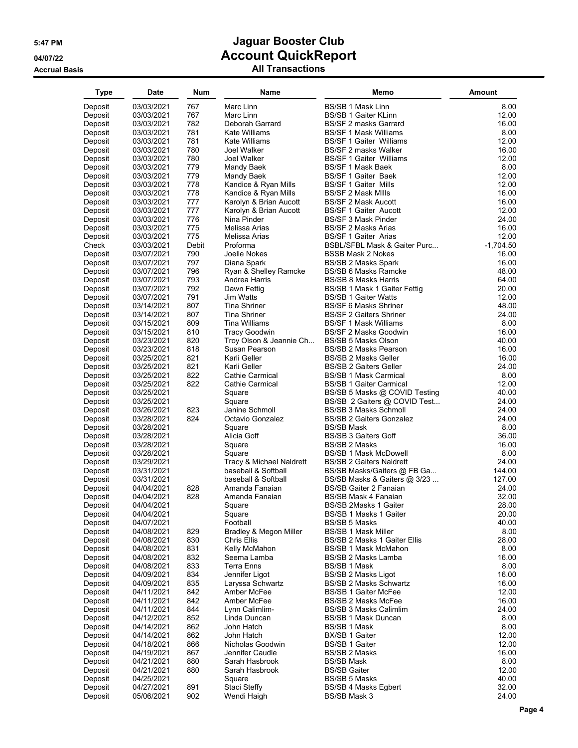| Type    | Date       | Num   | Name                     | Memo                            | Amount      |
|---------|------------|-------|--------------------------|---------------------------------|-------------|
| Deposit | 03/03/2021 | 767   | Marc Linn                | <b>BS/SB 1 Mask Linn</b>        | 8.00        |
| Deposit | 03/03/2021 | 767   | Marc Linn                | <b>BS/SB 1 Gaiter KLinn</b>     | 12.00       |
|         |            |       |                          |                                 |             |
| Deposit | 03/03/2021 | 782   | Deborah Garrard          | <b>BS/SF 2 masks Garrard</b>    | 16.00       |
| Deposit | 03/03/2021 | 781   | Kate Williams            | <b>BS/SF 1 Mask Williams</b>    | 8.00        |
| Deposit | 03/03/2021 | 781   | Kate Williams            | <b>BS/SF 1 Gaiter Williams</b>  | 12.00       |
| Deposit | 03/03/2021 | 780   | Joel Walker              | <b>BS/SF 2 masks Walker</b>     | 16.00       |
| Deposit | 03/03/2021 | 780   | Joel Walker              | <b>BS/SF 1 Gaiter Williams</b>  | 12.00       |
| Deposit | 03/03/2021 | 779   | Mandy Baek               | BS/SF 1 Mask Baek               | 8.00        |
| Deposit | 03/03/2021 | 779   | Mandy Baek               | <b>BS/SF 1 Gaiter Baek</b>      | 12.00       |
| Deposit | 03/03/2021 | 778   | Kandice & Ryan Mills     | <b>BS/SF 1 Gaiter Mills</b>     | 12.00       |
| Deposit | 03/03/2021 | 778   | Kandice & Ryan Mills     | <b>BS/SF 2 Mask MIIIs</b>       | 16.00       |
| Deposit | 03/03/2021 | 777   | Karolyn & Brian Aucott   | <b>BS/SF 2 Mask Aucott</b>      | 16.00       |
| Deposit | 03/03/2021 | 777   | Karolyn & Brian Aucott   | <b>BS/SF 1 Gaiter Aucott</b>    | 12.00       |
| Deposit | 03/03/2021 | 776   | Nina Pinder              | <b>BS/SF 3 Mask Pinder</b>      | 24.00       |
| Deposit | 03/03/2021 | 775   | Melissa Arias            | <b>BS/SF 2 Masks Arias</b>      | 16.00       |
| Deposit | 03/03/2021 | 775   | Melissa Arias            | BS/SF 1 Gaiter Arias            | 12.00       |
| Check   | 03/03/2021 | Debit | Proforma                 | BSBL/SFBL Mask & Gaiter Purc    | $-1,704.50$ |
| Deposit | 03/07/2021 | 790   | Joelle Nokes             | <b>BSSB Mask 2 Nokes</b>        | 16.00       |
| Deposit | 03/07/2021 | 797   | Diana Spark              | BS/SB 2 Masks Spark             | 16.00       |
| Deposit | 03/07/2021 | 796   | Ryan & Shelley Ramcke    | <b>BS/SB 6 Masks Ramcke</b>     | 48.00       |
|         | 03/07/2021 | 793   | Andrea Harris            | <b>BS/SB 8 Masks Harris</b>     | 64.00       |
| Deposit |            | 792   |                          |                                 |             |
| Deposit | 03/07/2021 |       | Dawn Fettig              | BS/SB 1 Mask 1 Gaiter Fettig    | 20.00       |
| Deposit | 03/07/2021 | 791   | Jim Watts                | <b>BS/SB 1 Gaiter Watts</b>     | 12.00       |
| Deposit | 03/14/2021 | 807   | Tina Shriner             | <b>BS/SF 6 Masks Shriner</b>    | 48.00       |
| Deposit | 03/14/2021 | 807   | <b>Tina Shriner</b>      | <b>BS/SF 2 Gaiters Shriner</b>  | 24.00       |
| Deposit | 03/15/2021 | 809   | Tina Williams            | <b>BS/SF 1 Mask Williams</b>    | 8.00        |
| Deposit | 03/15/2021 | 810   | <b>Tracy Goodwin</b>     | BS/SF 2 Masks Goodwin           | 16.00       |
| Deposit | 03/23/2021 | 820   | Troy Olson & Jeannie Ch  | BS/SB 5 Masks Olson             | 40.00       |
| Deposit | 03/23/2021 | 818   | Susan Pearson            | <b>BS/SB 2 Masks Pearson</b>    | 16.00       |
| Deposit | 03/25/2021 | 821   | Karli Geller             | <b>BS/SB 2 Masks Geller</b>     | 16.00       |
| Deposit | 03/25/2021 | 821   | Karli Geller             | <b>BS/SB 2 Gaiters Geller</b>   | 24.00       |
| Deposit | 03/25/2021 | 822   | Cathie Carmical          | <b>BS/SB 1 Mask Carmical</b>    | 8.00        |
| Deposit | 03/25/2021 | 822   | Cathie Carmical          | <b>BS/SB 1 Gaiter Carmical</b>  | 12.00       |
| Deposit | 03/25/2021 |       | Square                   | BS/SB 5 Masks @ COVID Testing   | 40.00       |
| Deposit | 03/25/2021 |       | Square                   | BS/SB 2 Gaiters @ COVID Test    | 24.00       |
| Deposit | 03/26/2021 | 823   | Janine Schmoll           | <b>BS/SB 3 Masks Schmoll</b>    | 24.00       |
| Deposit | 03/28/2021 | 824   | Octavio Gonzalez         | <b>BS/SB 2 Gaiters Gonzalez</b> | 24.00       |
| Deposit | 03/28/2021 |       | Square                   | <b>BS/SB Mask</b>               | 8.00        |
| Deposit | 03/28/2021 |       | Alicia Goff              | <b>BS/SB 3 Gaiters Goff</b>     | 36.00       |
| Deposit | 03/28/2021 |       | Square                   | BS/SB 2 Masks                   | 16.00       |
| Deposit | 03/28/2021 |       | Square                   | <b>BS/SB 1 Mask McDowell</b>    | 8.00        |
| Deposit | 03/29/2021 |       | Tracy & Michael Naldrett | <b>BS/SB 2 Gaiters Naldrett</b> | 24.00       |
|         | 03/31/2021 |       | baseball & Softball      | BS/SB Masks/Gaiters @ FB Ga     | 144.00      |
| Deposit |            |       |                          |                                 |             |
| Deposit | 03/31/2021 |       | baseball & Softball      | BS/SB Masks & Gaiters @ 3/23    | 127.00      |
| Deposit | 04/04/2021 | 828   | Amanda Fanaian           | <b>BS/SB Gaiter 2 Fanaian</b>   | 24.00       |
| Deposit | 04/04/2021 | 828   | Amanda Fanaian           | BS/SB Mask 4 Fanaian            | 32.00       |
| Deposit | 04/04/2021 |       | Square                   | BS/SB 2Masks 1 Gaiter           | 28.00       |
| Deposit | 04/04/2021 |       | Square                   | BS/SB 1 Masks 1 Gaiter          | 20.00       |
| Deposit | 04/07/2021 |       | Football                 | BS/SB 5 Masks                   | 40.00       |
| Deposit | 04/08/2021 | 829   | Bradley & Megon Miller   | BS/SB 1 Mask Miller             | 8.00        |
| Deposit | 04/08/2021 | 830   | Chris Ellis              | BS/SB 2 Masks 1 Gaiter Ellis    | 28.00       |
| Deposit | 04/08/2021 | 831   | Kelly McMahon            | BS/SB 1 Mask McMahon            | 8.00        |
| Deposit | 04/08/2021 | 832   | Seema Lamba              | BS/SB 2 Masks Lamba             | 16.00       |
| Deposit | 04/08/2021 | 833   | <b>Terra Enns</b>        | BS/SB 1 Mask                    | 8.00        |
| Deposit | 04/09/2021 | 834   | Jennifer Ligot           | BS/SB 2 Masks Ligot             | 16.00       |
| Deposit | 04/09/2021 | 835   | Laryssa Schwartz         | <b>BS/SB 2 Masks Schwartz</b>   | 16.00       |
| Deposit | 04/11/2021 | 842   | Amber McFee              | BS/SB 1 Gaiter McFee            | 12.00       |
| Deposit | 04/11/2021 | 842   | Amber McFee              | <b>BS/SB 2 Masks McFee</b>      | 16.00       |
| Deposit | 04/11/2021 | 844   | Lynn Calimlim-           | BS/SB 3 Masks Calimlim          | 24.00       |
| Deposit | 04/12/2021 | 852   | Linda Duncan             | <b>BS/SB 1 Mask Duncan</b>      | 8.00        |
| Deposit | 04/14/2021 | 862   | John Hatch               | BS/SB 1 Mask                    | 8.00        |
| Deposit | 04/14/2021 | 862   | John Hatch               | BX/SB 1 Gaiter                  | 12.00       |
| Deposit | 04/18/2021 | 866   | Nicholas Goodwin         | BS/SB 1 Gaiter                  | 12.00       |
| Deposit | 04/19/2021 | 867   | Jennifer Caudle          | BS/SB 2 Masks                   | 16.00       |
| Deposit | 04/21/2021 | 880   | Sarah Hasbrook           | <b>BS/SB Mask</b>               | 8.00        |
|         |            | 880   | Sarah Hasbrook           | <b>BS/SB Gaiter</b>             | 12.00       |
| Deposit | 04/21/2021 |       |                          |                                 | 40.00       |
| Deposit | 04/25/2021 |       | Square                   | BS/SB 5 Masks                   |             |
| Deposit | 04/27/2021 | 891   | Staci Steffy             | BS/SB 4 Masks Egbert            | 32.00       |
| Deposit | 05/06/2021 | 902   | Wendi Haigh              | BS/SB Mask 3                    | 24.00       |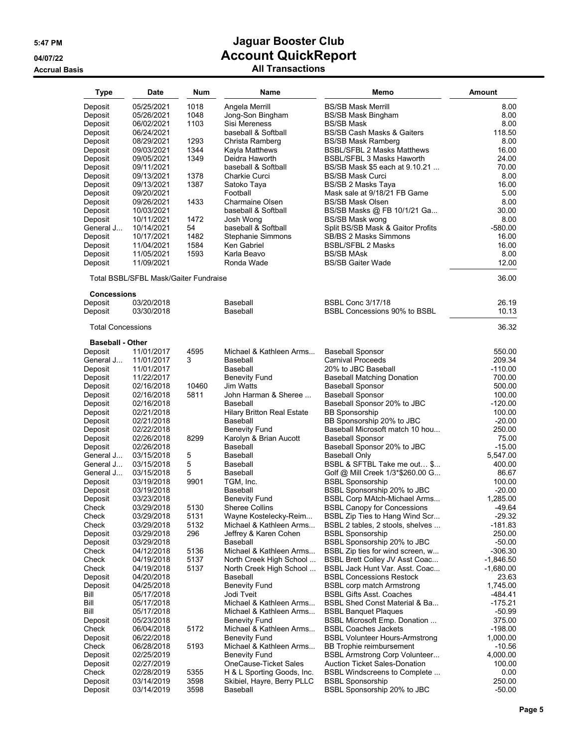| <b>Type</b>              | Date                                  | Num   | Name                              | Memo                                  | Amount      |
|--------------------------|---------------------------------------|-------|-----------------------------------|---------------------------------------|-------------|
| Deposit                  | 05/25/2021                            | 1018  | Angela Merrill                    | <b>BS/SB Mask Merrill</b>             | 8.00        |
| Deposit                  | 05/26/2021                            | 1048  | Jong-Son Bingham                  | <b>BS/SB Mask Bingham</b>             | 8.00        |
| Deposit                  | 06/02/2021                            | 1103  | Sisi Mereness                     | <b>BS/SB Mask</b>                     | 8.00        |
|                          | 06/24/2021                            |       | baseball & Softball               | <b>BS/SB Cash Masks &amp; Gaiters</b> | 118.50      |
| Deposit                  |                                       | 1293  |                                   | <b>BS/SB Mask Ramberg</b>             | 8.00        |
| Deposit                  | 08/29/2021                            |       | Christa Ramberg                   |                                       |             |
| Deposit                  | 09/03/2021                            | 1344  | Kayla Matthews                    | <b>BSBL/SFBL 2 Masks Matthews</b>     | 16.00       |
| Deposit                  | 09/05/2021                            | 1349  | Deidra Haworth                    | BSBL/SFBL 3 Masks Haworth             | 24.00       |
| Deposit                  | 09/11/2021                            |       | baseball & Softball               | BS/SB Mask \$5 each at 9.10.21        | 70.00       |
| Deposit                  | 09/13/2021                            | 1378  | Charkie Curci                     | <b>BS/SB Mask Curci</b>               | 8.00        |
| Deposit                  | 09/13/2021                            | 1387  | Satoko Taya                       | BS/SB 2 Masks Taya                    | 16.00       |
| Deposit                  | 09/20/2021                            |       | Football                          | Mask sale at 9/18/21 FB Game          | 5.00        |
| Deposit                  | 09/26/2021                            | 1433  | Charmaine Olsen                   | <b>BS/SB Mask Olsen</b>               | 8.00        |
| Deposit                  | 10/03/2021                            |       | baseball & Softball               | BS/SB Masks @ FB 10/1/21 Ga           | 30.00       |
| Deposit                  | 10/11/2021                            | 1472  | Josh Wong                         | <b>BS/SB Mask wong</b>                | 8.00        |
| General J                | 10/14/2021                            | 54    | baseball & Softball               | Split BS/SB Mask & Gaitor Profits     | $-580.00$   |
| Deposit                  | 10/17/2021                            | 1482  | Stephanie Simmons                 | <b>SB/BS 2 Masks Simmons</b>          | 16.00       |
| Deposit                  | 11/04/2021                            | 1584  | Ken Gabriel                       | <b>BSBL/SFBL 2 Masks</b>              | 16.00       |
| Deposit                  | 11/05/2021                            | 1593  | Karla Beavo                       | <b>BS/SB MAsk</b>                     | 8.00        |
| Deposit                  | 11/09/2021                            |       | Ronda Wade                        | <b>BS/SB Gaiter Wade</b>              | 12.00       |
|                          | Total BSBL/SFBL Mask/Gaiter Fundraise |       |                                   |                                       | 36.00       |
| <b>Concessions</b>       |                                       |       |                                   |                                       |             |
| Deposit                  | 03/20/2018                            |       | Baseball                          | <b>BSBL Conc 3/17/18</b>              | 26.19       |
| Deposit                  | 03/30/2018                            |       | Baseball                          | BSBL Concessions 90% to BSBL          | 10.13       |
| <b>Total Concessions</b> |                                       |       |                                   |                                       | 36.32       |
| <b>Baseball - Other</b>  |                                       |       |                                   |                                       |             |
| Deposit                  | 11/01/2017                            | 4595  | Michael & Kathleen Arms           | <b>Baseball Sponsor</b>               | 550.00      |
| General J                | 11/01/2017                            | 3     | Baseball                          | <b>Carnival Proceeds</b>              | 209.34      |
| Deposit                  | 11/01/2017                            |       | Baseball                          | 20% to JBC Baseball                   | $-110.00$   |
| Deposit                  | 11/22/2017                            |       | <b>Benevity Fund</b>              | <b>Baseball Matching Donation</b>     | 700.00      |
| Deposit                  | 02/16/2018                            | 10460 | Jim Watts                         | <b>Baseball Sponsor</b>               | 500.00      |
| Deposit                  | 02/16/2018                            | 5811  | John Harman & Sheree              | <b>Baseball Sponsor</b>               | 100.00      |
| Deposit                  | 02/16/2018                            |       | Baseball                          | Baseball Sponsor 20% to JBC           | $-120.00$   |
| Deposit                  | 02/21/2018                            |       | <b>Hilary Britton Real Estate</b> | <b>BB Sponsorship</b>                 | 100.00      |
| Deposit                  | 02/21/2018                            |       | Baseball                          | BB Sponsorship 20% to JBC             | $-20.00$    |
| Deposit                  | 02/22/2018                            |       | <b>Benevity Fund</b>              | Baseball Microsoft match 10 hou       | 250.00      |
| Deposit                  | 02/26/2018                            | 8299  | Karolyn & Brian Aucott            | <b>Baseball Sponsor</b>               | 75.00       |
| Deposit                  | 02/26/2018                            |       | Baseball                          | Baseball Sponsor 20% to JBC           | $-15.00$    |
| General J                | 03/15/2018                            | 5     | Baseball                          | Baseball Only                         | 5,547.00    |
| General J                | 03/15/2018                            | 5     | Baseball                          | BSBL & SFTBL Take me out \$           | 400.00      |
| General J                | 03/15/2018                            | 5     | Baseball                          | Golf @ Mill Creek 1/3*\$260.00 G      | 86.67       |
| Deposit                  | 03/19/2018                            | 9901  | TGM, Inc.                         | <b>BSBL Sponsorship</b>               | 100.00      |
| Deposit                  | 03/19/2018                            |       | Baseball                          | BSBL Sponsorship 20% to JBC           | $-20.00$    |
| Deposit                  | 03/23/2018                            |       | <b>Benevity Fund</b>              | BSBL Corp MAtch-Michael Arms          | 1,285.00    |
| Check                    | 03/29/2018                            | 5130  | Sheree Collins                    | <b>BSBL Canopy for Concessions</b>    | $-49.64$    |
| Check                    | 03/29/2018                            | 5131  | Wayne Kostelecky-Reim             | BSBL Zip Ties to Hang Wind Scr        | $-29.32$    |
| Check                    | 03/29/2018                            | 5132  | Michael & Kathleen Arms           | BSBL 2 tables, 2 stools, shelves      | -181.83     |
| Deposit                  | 03/29/2018                            | 296   | Jeffrey & Karen Cohen             | <b>BSBL Sponsorship</b>               | 250.00      |
| Deposit                  | 03/29/2018                            |       | Baseball                          | BSBL Sponsorship 20% to JBC           | $-50.00$    |
| Check                    | 04/12/2018                            | 5136  | Michael & Kathleen Arms           | BSBL Zip ties for wind screen, w      | $-306.30$   |
| Check                    | 04/19/2018                            | 5137  | North Creek High School           | <b>BSBL Brett Colley JV Asst Coac</b> | $-1,846.50$ |
| Check                    | 04/19/2018                            | 5137  | North Creek High School           | BSBL Jack Hunt Var. Asst. Coac        | $-1,680.00$ |
| Deposit                  | 04/20/2018                            |       | Baseball                          | <b>BSBL Concessions Restock</b>       | 23.63       |
| Deposit                  | 04/25/2018                            |       | <b>Benevity Fund</b>              | <b>BSBL corp match Armstrong</b>      | 1,745.00    |
| Bill                     | 05/17/2018                            |       | Jodi Tveit                        | <b>BSBL Gifts Asst. Coaches</b>       | -484.41     |
| Bill                     | 05/17/2018                            |       | Michael & Kathleen Arms           | BSBL Shed Const Material & Ba         | $-175.21$   |
| Bill                     | 05/17/2018                            |       | Michael & Kathleen Arms           | <b>BSBL Banquet Plaques</b>           | $-50.99$    |
| Deposit                  | 05/23/2018                            |       | Benevity Fund                     | <b>BSBL Microsoft Emp. Donation </b>  | 375.00      |
| Check                    | 06/04/2018                            | 5172  | Michael & Kathleen Arms           | <b>BSBL Coaches Jackets</b>           | $-198.00$   |
| Deposit                  | 06/22/2018                            |       | <b>Benevity Fund</b>              | <b>BSBL Volunteer Hours-Armstrong</b> | 1,000.00    |
| Check                    | 06/28/2018                            | 5193  | Michael & Kathleen Arms           | BB Trophie reimbursement              | $-10.56$    |
| Deposit                  | 02/25/2019                            |       | <b>Benevity Fund</b>              | <b>BSBL Armstrong Corp Volunteer</b>  | 4,000.00    |
| Deposit                  | 02/27/2019                            |       | OneCause-Ticket Sales             | <b>Auction Ticket Sales-Donation</b>  | 100.00      |
| Check                    | 02/28/2019                            | 5355  | H & L Sporting Goods, Inc.        | BSBL Windscreens to Complete          | 0.00        |
| Deposit                  | 03/14/2019                            | 3598  |                                   | <b>BSBL Sponsorship</b>               | 250.00      |
|                          |                                       | 3598  | Skibiel, Hayre, Berry PLLC        |                                       | $-50.00$    |
| Deposit                  | 03/14/2019                            |       | Baseball                          | BSBL Sponsorship 20% to JBC           |             |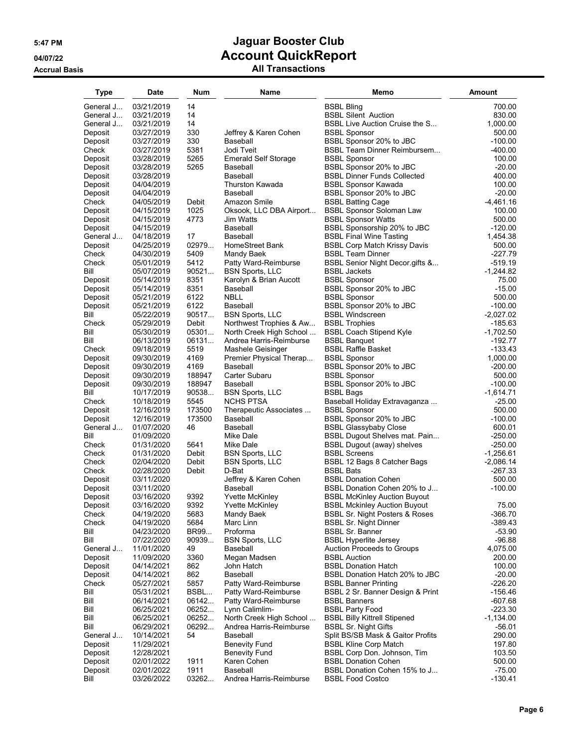### **5:47 PM Jaguar Booster Club 04/07/22 Account QuickReport Accrual Basis All Transactions**

| Type               | Date                     | <b>Num</b>     | Name                                               | Memo                                                             | <b>Amount</b>           |
|--------------------|--------------------------|----------------|----------------------------------------------------|------------------------------------------------------------------|-------------------------|
| General J          | 03/21/2019               | 14             |                                                    | <b>BSBL Bling</b>                                                | 700.00                  |
| General J          | 03/21/2019               | 14             |                                                    | <b>BSBL Silent Auction</b>                                       | 830.00                  |
| General J          | 03/21/2019               | 14             |                                                    | BSBL Live Auction Cruise the S                                   | 1,000.00                |
| Deposit            | 03/27/2019               | 330            | Jeffrey & Karen Cohen                              | <b>BSBL Sponsor</b>                                              | 500.00                  |
| Deposit            | 03/27/2019               | 330            | Baseball                                           | BSBL Sponsor 20% to JBC                                          | $-100.00$               |
| Check              | 03/27/2019               | 5381           | Jodi Tveit                                         | <b>BSBL Team Dinner Reimbursem</b>                               | $-400.00$               |
| Deposit            | 03/28/2019               | 5265           | <b>Emerald Self Storage</b>                        | <b>BSBL Sponsor</b>                                              | 100.00                  |
| Deposit            | 03/28/2019               | 5265           | Baseball<br>Baseball                               | BSBL Sponsor 20% to JBC                                          | $-20.00$<br>400.00      |
| Deposit<br>Deposit | 03/28/2019<br>04/04/2019 |                | <b>Thurston Kawada</b>                             | <b>BSBL Dinner Funds Collected</b><br><b>BSBL Sponsor Kawada</b> | 100.00                  |
| Deposit            | 04/04/2019               |                | Baseball                                           | BSBL Sponsor 20% to JBC                                          | $-20.00$                |
| Check              | 04/05/2019               | Debit          | Amazon Smile                                       | <b>BSBL Batting Cage</b>                                         | -4,461.16               |
| Deposit            | 04/15/2019               | 1025           | Oksook, LLC DBA Airport                            | <b>BSBL Sponsor Soloman Law</b>                                  | 100.00                  |
| Deposit            | 04/15/2019               | 4773           | Jim Watts                                          | <b>BSBL Sponsor Watts</b>                                        | 500.00                  |
| Deposit            | 04/15/2019               |                | Baseball                                           | BSBL Sponsorship 20% to JBC                                      | $-120.00$               |
| General J          | 04/18/2019               | 17             | Baseball                                           | <b>BSBL Final Wine Tasting</b>                                   | 1,454.38                |
| Deposit            | 04/25/2019               | 02979          | HomeStreet Bank                                    | <b>BSBL Corp Match Krissy Davis</b>                              | 500.00                  |
| Check<br>Check     | 04/30/2019               | 5409<br>5412   | Mandy Baek                                         | <b>BSBL Team Dinner</b>                                          | -227.79<br>-519.19      |
| Bill               | 05/01/2019<br>05/07/2019 | 90521          | Patty Ward-Reimburse<br><b>BSN Sports, LLC</b>     | BSBL Senior Night Decor gifts &<br><b>BSBL Jackets</b>           | $-1.244.82$             |
| Deposit            | 05/14/2019               | 8351           | Karolyn & Brian Aucott                             | <b>BSBL Sponsor</b>                                              | 75.00                   |
| Deposit            | 05/14/2019               | 8351           | Baseball                                           | BSBL Sponsor 20% to JBC                                          | $-15.00$                |
| Deposit            | 05/21/2019               | 6122           | NBLL                                               | <b>BSBL Sponsor</b>                                              | 500.00                  |
| Deposit            | 05/21/2019               | 6122           | Baseball                                           | BSBL Sponsor 20% to JBC                                          | $-100.00$               |
| Bill               | 05/22/2019               | 90517          | <b>BSN Sports, LLC</b>                             | <b>BSBL Windscreen</b>                                           | $-2,027.02$             |
| Check              | 05/29/2019               | Debit          | Northwest Trophies & Aw                            | <b>BSBL Trophies</b>                                             | $-185.63$               |
| Bill               | 05/30/2019               | 05301          | North Creek High School                            | <b>BSBL Coach Stipend Kyle</b>                                   | $-1,702.50$             |
| Bill               | 06/13/2019               | 06131          | Andrea Harris-Reimburse                            | <b>BSBL Banquet</b>                                              | $-192.77$               |
| Check              | 09/18/2019               | 5519<br>4169   | Mashele Geisinger                                  | <b>BSBL Raffle Basket</b>                                        | -133.43                 |
| Deposit<br>Deposit | 09/30/2019<br>09/30/2019 | 4169           | Premier Physical Therap<br>Baseball                | <b>BSBL Sponsor</b><br>BSBL Sponsor 20% to JBC                   | 1,000.00<br>$-200.00$   |
| Deposit            | 09/30/2019               | 188947         | Carter Subaru                                      | <b>BSBL Sponsor</b>                                              | 500.00                  |
| Deposit            | 09/30/2019               | 188947         | Baseball                                           | BSBL Sponsor 20% to JBC                                          | $-100.00$               |
| Bill               | 10/17/2019               | 90538          | <b>BSN Sports, LLC</b>                             | <b>BSBL Bags</b>                                                 | $-1,614.71$             |
| Check              | 10/18/2019               | 5545           | NCHS PTSA                                          | Baseball Holiday Extravaganza                                    | $-25.00$                |
| Deposit            | 12/16/2019               | 173500         | Therapeutic Associates                             | <b>BSBL Sponsor</b>                                              | 500.00                  |
| Deposit            | 12/16/2019               | 173500         | Baseball                                           | BSBL Sponsor 20% to JBC                                          | $-100.00$               |
| General J          | 01/07/2020               | 46             | Baseball                                           | <b>BSBL Glassybaby Close</b>                                     | 600.01                  |
| Bill               | 01/09/2020               |                | Mike Dale                                          | <b>BSBL Dugout Shelves mat. Pain</b>                             | $-250.00$               |
| Check<br>Check     | 01/31/2020<br>01/31/2020 | 5641<br>Debit  | Mike Dale<br><b>BSN Sports, LLC</b>                | <b>BSBL Dugout (away) shelves</b><br><b>BSBL Screens</b>         | -250.00<br>$-1,256.61$  |
| Check              | 02/04/2020               | Debit          | <b>BSN Sports, LLC</b>                             | BSBL 12 Bags 8 Catcher Bags                                      | $-2,086.14$             |
| Check              | 02/28/2020               | Debit          | D-Bat                                              | <b>BSBL Bats</b>                                                 | -267.33                 |
| Deposit            | 03/11/2020               |                | Jeffrey & Karen Cohen                              | <b>BSBL Donation Cohen</b>                                       | 500.00                  |
| Deposit            | 03/11/2020               |                | Baseball                                           | BSBL Donation Cohen 20% to J                                     | $-100.00$               |
| Deposit            | 03/16/2020               | 9392           | Yvette McKinley                                    | <b>BSBL McKinley Auction Buyout</b>                              |                         |
| Deposit            | 03/16/2020               | 9392           | <b>Yvette McKinley</b>                             | <b>BSBL Mckinley Auction Buyout</b>                              | 75.00                   |
| Check              | 04/19/2020               | 5683           | Mandy Baek                                         | <b>BSBL Sr. Night Posters &amp; Roses</b>                        | -366.70                 |
| Check<br>Bill      | 04/19/2020               | 5684<br>BR99   | Marc Linn                                          | <b>BSBL Sr. Night Dinner</b>                                     | -389.43<br>$-53.90$     |
| Bill               | 04/23/2020<br>07/22/2020 | 90939          | Proforma<br><b>BSN Sports, LLC</b>                 | <b>BSBL Sr. Banner</b><br><b>BSBL Hyperlite Jersey</b>           | $-96.88$                |
| General J          | 11/01/2020               | 49             | Baseball                                           | <b>Auction Proceeds to Groups</b>                                | 4,075.00                |
| Deposit            | 11/09/2020               | 3360           | Megan Madsen                                       | <b>BSBL Auction</b>                                              | 200.00                  |
| Deposit            | 04/14/2021               | 862            | John Hatch                                         | <b>BSBL Donation Hatch</b>                                       | 100.00                  |
| Deposit            | 04/14/2021               | 862            | Baseball                                           | BSBL Donation Hatch 20% to JBC                                   | $-20.00$                |
| Check              | 05/27/2021               | 5857           | Patty Ward-Reimburse                               | <b>BSBL Banner Printing</b>                                      | $-226.20$               |
| Bill               | 05/31/2021               | BSBL           | Patty Ward-Reimburse                               | BSBL 2 Sr. Banner Design & Print                                 | $-156.46$               |
| Bill               | 06/14/2021               | 06142          | Patty Ward-Reimburse                               | <b>BSBL Banners</b>                                              | $-607.68$               |
| Bill<br>Bill       | 06/25/2021<br>06/25/2021 | 06252<br>06252 | Lynn Calimlim-                                     | <b>BSBL Party Food</b><br><b>BSBL Billy Kittrell Stipened</b>    | $-223.30$               |
| Bill               | 06/29/2021               | 06292          | North Creek High School<br>Andrea Harris-Reimburse | <b>BSBL Sr. Night Gifts</b>                                      | $-1,134.00$<br>$-56.01$ |
| General J          | 10/14/2021               | 54             | Baseball                                           | Split BS/SB Mask & Gaitor Profits                                | 290.00                  |
| Deposit            | 11/29/2021               |                | <b>Benevity Fund</b>                               | <b>BSBL Kline Corp Match</b>                                     | 197.80                  |
| Deposit            | 12/28/2021               |                | <b>Benevity Fund</b>                               | BSBL Corp Don. Johnson, Tim                                      | 103.50                  |
| Deposit            | 02/01/2022               | 1911           | Karen Cohen                                        | <b>BSBL Donation Cohen</b>                                       | 500.00                  |
| Deposit            | 02/01/2022               | 1911           | Baseball                                           | BSBL Donation Cohen 15% to J                                     | $-75.00$                |
| Bill               | 03/26/2022               | 03262          | Andrea Harris-Reimburse                            | <b>BSBL Food Costco</b>                                          | $-130.41$               |